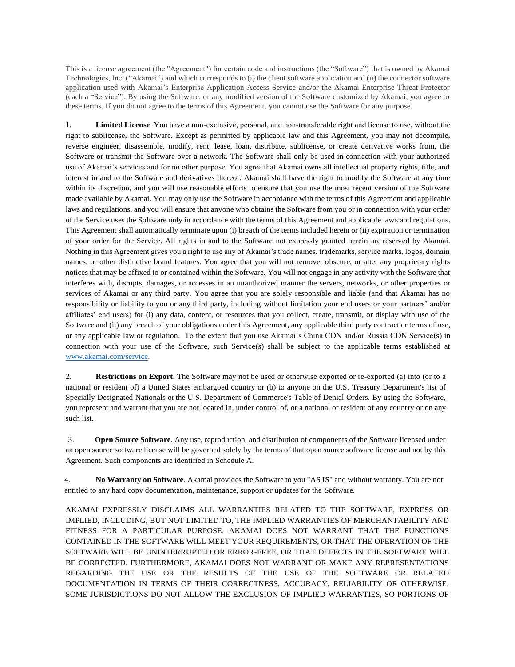This is a license agreement (the "Agreement") for certain code and instructions (the "Software") that is owned by Akamai Technologies, Inc. ("Akamai") and which corresponds to (i) the client software application and (ii) the connector software application used with Akamai's Enterprise Application Access Service and/or the Akamai Enterprise Threat Protector (each a "Service"). By using the Software, or any modified version of the Software customized by Akamai, you agree to these terms. If you do not agree to the terms of this Agreement, you cannot use the Software for any purpose.

1. **Limited License**. You have a non-exclusive, personal, and non-transferable right and license to use, without the right to sublicense, the Software. Except as permitted by applicable law and this Agreement, you may not decompile, reverse engineer, disassemble, modify, rent, lease, loan, distribute, sublicense, or create derivative works from, the Software or transmit the Software over a network. The Software shall only be used in connection with your authorized use of Akamai's services and for no other purpose. You agree that Akamai owns all intellectual property rights, title, and interest in and to the Software and derivatives thereof. Akamai shall have the right to modify the Software at any time within its discretion, and you will use reasonable efforts to ensure that you use the most recent version of the Software made available by Akamai. You may only use the Software in accordance with the terms of this Agreement and applicable laws and regulations, and you will ensure that anyone who obtains the Software from you or in connection with your order of the Service uses the Software only in accordance with the terms of this Agreement and applicable laws and regulations. This Agreement shall automatically terminate upon (i) breach of the terms included herein or (ii) expiration or termination of your order for the Service. All rights in and to the Software not expressly granted herein are reserved by Akamai. Nothing in this Agreement gives you a right to use any of Akamai's trade names, trademarks, service marks, logos, domain names, or other distinctive brand features. You agree that you will not remove, obscure, or alter any proprietary rights notices that may be affixed to or contained within the Software. You will not engage in any activity with the Software that interferes with, disrupts, damages, or accesses in an unauthorized manner the servers, networks, or other properties or services of Akamai or any third party. You agree that you are solely responsible and liable (and that Akamai has no responsibility or liability to you or any third party, including without limitation your end users or your partners' and/or affiliates' end users) for (i) any data, content, or resources that you collect, create, transmit, or display with use of the Software and (ii) any breach of your obligations under this Agreement, any applicable third party contract or terms of use, or any applicable law or regulation. To the extent that you use Akamai's China CDN and/or Russia CDN Service(s) in connection with your use of the Software, such Service(s) shall be subject to the applicable terms established at [www.akamai.com/service.](http://www.akamai.com/service)

2. **Restrictions on Export**. The Software may not be used or otherwise exported or re-exported (a) into (or to a national or resident of) a United States embargoed country or (b) to anyone on the U.S. Treasury Department's list of Specially Designated Nationals or the U.S. Department of Commerce's Table of Denial Orders. By using the Software, you represent and warrant that you are not located in, under control of, or a national or resident of any country or on any such list.

3. **Open Source Software**. Any use, reproduction, and distribution of components of the Software licensed under an open source software license will be governed solely by the terms of that open source software license and not by this Agreement. Such components are identified in Schedule A.

4. **No Warranty on Software**. Akamai provides the Software to you "AS IS" and without warranty. You are not entitled to any hard copy documentation, maintenance, support or updates for the Software.

AKAMAI EXPRESSLY DISCLAIMS ALL WARRANTIES RELATED TO THE SOFTWARE, EXPRESS OR IMPLIED, INCLUDING, BUT NOT LIMITED TO, THE IMPLIED WARRANTIES OF MERCHANTABILITY AND FITNESS FOR A PARTICULAR PURPOSE. AKAMAI DOES NOT WARRANT THAT THE FUNCTIONS CONTAINED IN THE SOFTWARE WILL MEET YOUR REQUIREMENTS, OR THAT THE OPERATION OF THE SOFTWARE WILL BE UNINTERRUPTED OR ERROR-FREE, OR THAT DEFECTS IN THE SOFTWARE WILL BE CORRECTED. FURTHERMORE, AKAMAI DOES NOT WARRANT OR MAKE ANY REPRESENTATIONS REGARDING THE USE OR THE RESULTS OF THE USE OF THE SOFTWARE OR RELATED DOCUMENTATION IN TERMS OF THEIR CORRECTNESS, ACCURACY, RELIABILITY OR OTHERWISE. SOME JURISDICTIONS DO NOT ALLOW THE EXCLUSION OF IMPLIED WARRANTIES, SO PORTIONS OF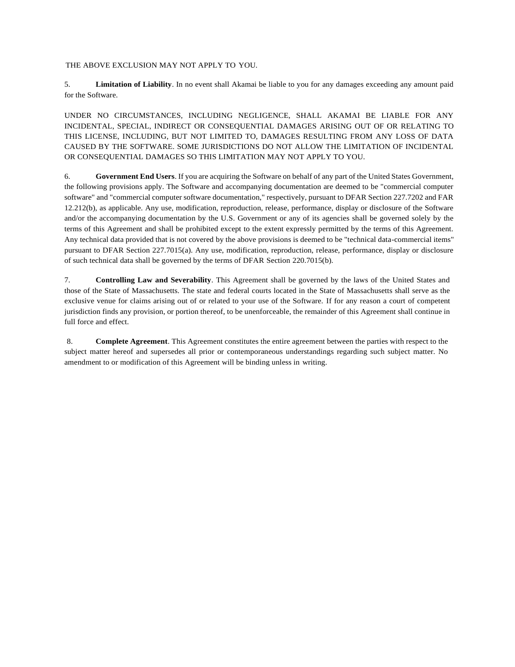THE ABOVE EXCLUSION MAY NOT APPLY TO YOU.

5. **Limitation of Liability**. In no event shall Akamai be liable to you for any damages exceeding any amount paid for the Software.

UNDER NO CIRCUMSTANCES, INCLUDING NEGLIGENCE, SHALL AKAMAI BE LIABLE FOR ANY INCIDENTAL, SPECIAL, INDIRECT OR CONSEQUENTIAL DAMAGES ARISING OUT OF OR RELATING TO THIS LICENSE, INCLUDING, BUT NOT LIMITED TO, DAMAGES RESULTING FROM ANY LOSS OF DATA CAUSED BY THE SOFTWARE. SOME JURISDICTIONS DO NOT ALLOW THE LIMITATION OF INCIDENTAL OR CONSEQUENTIAL DAMAGES SO THIS LIMITATION MAY NOT APPLY TO YOU.

6. **Government End Users**. If you are acquiring the Software on behalf of any part of the United States Government, the following provisions apply. The Software and accompanying documentation are deemed to be "commercial computer software" and "commercial computer software documentation," respectively, pursuant to DFAR Section 227.7202 and FAR 12.212(b), as applicable. Any use, modification, reproduction, release, performance, display or disclosure of the Software and/or the accompanying documentation by the U.S. Government or any of its agencies shall be governed solely by the terms of this Agreement and shall be prohibited except to the extent expressly permitted by the terms of this Agreement. Any technical data provided that is not covered by the above provisions is deemed to be "technical data-commercial items" pursuant to DFAR Section 227.7015(a). Any use, modification, reproduction, release, performance, display or disclosure of such technical data shall be governed by the terms of DFAR Section 220.7015(b).

7. **Controlling Law and Severability**. This Agreement shall be governed by the laws of the United States and those of the State of Massachusetts. The state and federal courts located in the State of Massachusetts shall serve as the exclusive venue for claims arising out of or related to your use of the Software. If for any reason a court of competent jurisdiction finds any provision, or portion thereof, to be unenforceable, the remainder of this Agreement shall continue in full force and effect.

8. **Complete Agreement**. This Agreement constitutes the entire agreement between the parties with respect to the subject matter hereof and supersedes all prior or contemporaneous understandings regarding such subject matter. No amendment to or modification of this Agreement will be binding unless in writing.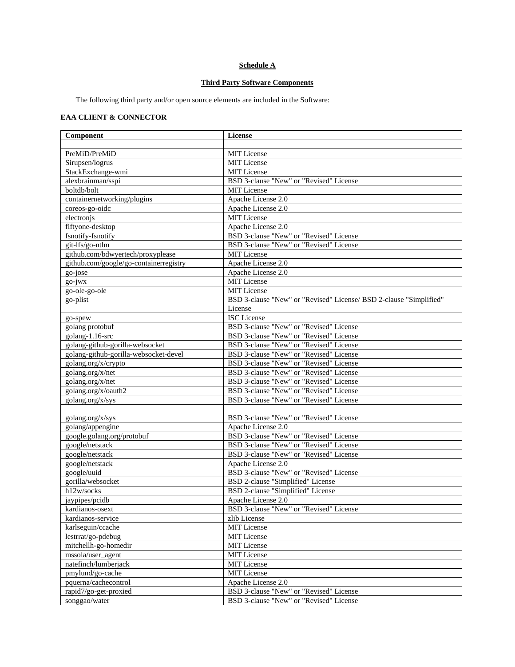## **Schedule A**

## **Third Party Software Components**

The following third party and/or open source elements are included in the Software:

## **EAA CLIENT & CONNECTOR**

| Component                              | <b>License</b>                                                     |  |
|----------------------------------------|--------------------------------------------------------------------|--|
|                                        |                                                                    |  |
| PreMiD/PreMiD                          | <b>MIT</b> License                                                 |  |
| Sirupsen/logrus                        | MIT License                                                        |  |
| StackExchange-wmi                      | MIT License                                                        |  |
| alexbrainman/sspi                      | BSD 3-clause "New" or "Revised" License                            |  |
| boltdb/bolt                            | MIT License                                                        |  |
| containernetworking/plugins            | Apache License 2.0                                                 |  |
| coreos-go-oidc                         | Apache License 2.0                                                 |  |
| electronis                             | <b>MIT</b> License                                                 |  |
| fiftyone-desktop                       | Apache License 2.0                                                 |  |
| fsnotify-fsnotify                      | BSD 3-clause "New" or "Revised" License                            |  |
| git-lfs/go-ntlm                        | BSD 3-clause "New" or "Revised" License                            |  |
| github.com/bdwyertech/proxyplease      | <b>MIT</b> License                                                 |  |
| github.com/google/go-containerregistry | Apache License 2.0                                                 |  |
| go-jose                                | Apache License 2.0                                                 |  |
| $go-iwx$                               | MIT License                                                        |  |
| go-ole-go-ole                          | MIT License                                                        |  |
| go-plist                               | BSD 3-clause "New" or "Revised" License/ BSD 2-clause "Simplified" |  |
|                                        | License                                                            |  |
| go-spew                                | <b>ISC</b> License                                                 |  |
| golang protobuf                        | BSD 3-clause "New" or "Revised" License                            |  |
| golang-1.16-src                        | BSD 3-clause "New" or "Revised" License                            |  |
| golang-github-gorilla-websocket        | BSD 3-clause "New" or "Revised" License                            |  |
| golang-github-gorilla-websocket-devel  | BSD 3-clause "New" or "Revised" License                            |  |
| golang.org/x/crypto                    | BSD 3-clause "New" or "Revised" License                            |  |
| golang.org/x/net                       | BSD 3-clause "New" or "Revised" License                            |  |
| golang.org/x/net                       | BSD 3-clause "New" or "Revised" License                            |  |
| golang.org/x/oauth2                    | BSD 3-clause "New" or "Revised" License                            |  |
| golang.org/x/sys                       | BSD 3-clause "New" or "Revised" License                            |  |
|                                        |                                                                    |  |
| golang.org/x/sys                       | BSD 3-clause "New" or "Revised" License                            |  |
| golang/appengine                       | Apache License 2.0                                                 |  |
| google.golang.org/protobuf             | BSD 3-clause "New" or "Revised" License                            |  |
| google/netstack                        | BSD 3-clause "New" or "Revised" License                            |  |
| google/netstack                        | BSD 3-clause "New" or "Revised" License                            |  |
| google/netstack                        | Apache License 2.0                                                 |  |
| google/uuid                            | BSD 3-clause "New" or "Revised" License                            |  |
| gorilla/websocket                      | BSD 2-clause "Simplified" License                                  |  |
| h12w/socks                             | BSD 2-clause "Simplified" License                                  |  |
| jaypipes/pcidb                         | Apache License 2.0                                                 |  |
| kardianos-osext                        | BSD 3-clause "New" or "Revised" License                            |  |
| kardianos-service                      | zlib License                                                       |  |
| karlseguin/ccache                      | MIT License                                                        |  |
| lestrrat/go-pdebug                     | MIT License                                                        |  |
| mitchellh-go-homedir                   | MIT License                                                        |  |
| mssola/user_agent                      | MIT License                                                        |  |
| natefinch/lumberjack                   | MIT License                                                        |  |
| pmylund/go-cache                       | MIT License                                                        |  |
| pquerna/cachecontrol                   | Apache License 2.0                                                 |  |
| rapid7/go-get-proxied                  | BSD 3-clause "New" or "Revised" License                            |  |
| songgao/water                          | BSD 3-clause "New" or "Revised" License                            |  |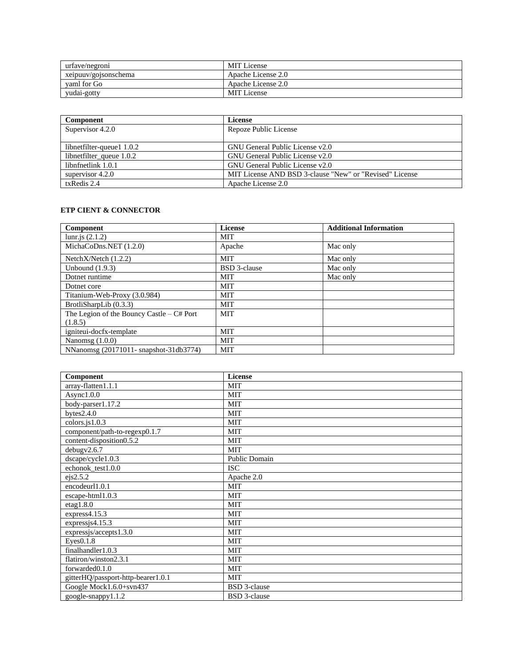| urtave/negroni       | <b>MIT</b> License |
|----------------------|--------------------|
| xeipuuv/gojsonschema | Apache License 2.0 |
| vaml for Go          | Apache License 2.0 |
| yudai-gotty          | <b>MIT</b> License |

| Component                   | License                                                 |
|-----------------------------|---------------------------------------------------------|
| Supervisor 4.2.0            | Repoze Public License                                   |
|                             |                                                         |
| libnetfilter-queue1 1.0.2   | GNU General Public License v2.0                         |
| libnet filter_queue $1.0.2$ | GNU General Public License v2.0                         |
| libnfnetlink 1.0.1          | GNU General Public License v2.0                         |
| supervisor $4.2.0$          | MIT License AND BSD 3-clause "New" or "Revised" License |
| txRedis 2.4                 | Apache License 2.0                                      |

## **ETP CIENT & CONNECTOR**

| Component                                  | License             | <b>Additional Information</b> |
|--------------------------------------------|---------------------|-------------------------------|
| lunr.js $(2.1.2)$                          | MIT                 |                               |
| MichaCoDns.NET $(1.2.0)$                   | Apache              | Mac only                      |
| Netch $X/N$ etch $(1.2.2)$                 | <b>MIT</b>          | Mac only                      |
| Unbound $(1.9.3)$                          | <b>BSD</b> 3-clause | Mac only                      |
| Dotnet runtime                             | <b>MIT</b>          | Mac only                      |
| Dotnet core                                | <b>MIT</b>          |                               |
| Titanium-Web-Proxy (3.0.984)               | <b>MIT</b>          |                               |
| BrotliSharpLib (0.3.3)                     | <b>MIT</b>          |                               |
| The Legion of the Bouncy Castle $-C#$ Port | <b>MIT</b>          |                               |
| (1.8.5)                                    |                     |                               |
| igniteui-docfx-template                    | <b>MIT</b>          |                               |
| Nanomsg $(1.0.0)$                          | <b>MIT</b>          |                               |
| NNanomsg (20171011- snapshot-31db3774)     | <b>MIT</b>          |                               |

| Component                          | License             |
|------------------------------------|---------------------|
| array-flatten1.1.1                 | <b>MIT</b>          |
| Async1.0.0                         | <b>MIT</b>          |
| body-parser1.17.2                  | <b>MIT</b>          |
| bytes $2.4.0$                      | <b>MIT</b>          |
| $colors$ .js $1.0.3$               | <b>MIT</b>          |
| component/path-to-regexp0.1.7      | <b>MIT</b>          |
| content-disposition0.5.2           | <b>MIT</b>          |
| debugv2.6.7                        | <b>MIT</b>          |
| dscape/cycle1.0.3                  | Public Domain       |
| echonok_test1.0.0                  | <b>ISC</b>          |
| ejs2.5.2                           | Apache 2.0          |
| encodeurl1.0.1                     | <b>MIT</b>          |
| escape-html1.0.3                   | <b>MIT</b>          |
| etag1.8.0                          | <b>MIT</b>          |
| express 4.15.3                     | MIT                 |
| expressis 4.15.3                   | <b>MIT</b>          |
| expressjs/accepts1.3.0             | <b>MIT</b>          |
| Eyes0.1.8                          | <b>MIT</b>          |
| finalhandler1.0.3                  | <b>MIT</b>          |
| flatiron/winston2.3.1              | <b>MIT</b>          |
| forwarded <sub>0.1.0</sub>         | <b>MIT</b>          |
| gitterHQ/passport-http-bearer1.0.1 | <b>MIT</b>          |
| Google Mock1.6.0+svn437            | <b>BSD</b> 3-clause |
| google-snappy1.1.2                 | <b>BSD</b> 3-clause |